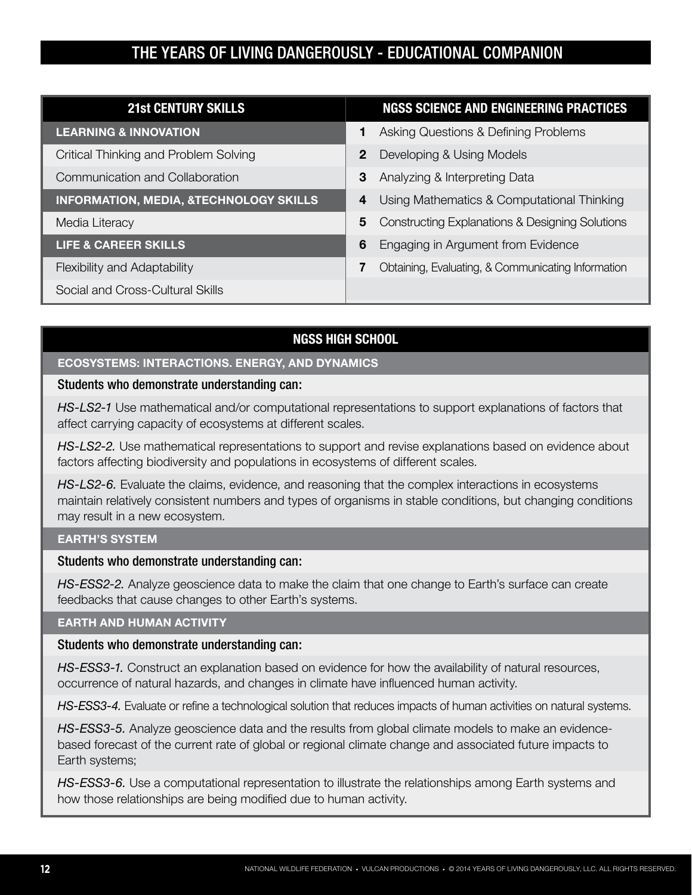| <b>21st CENTURY SKILLS</b>                        | <b>NGSS SCIENCE AND ENGINEERING PRACTICES</b>                   |
|---------------------------------------------------|-----------------------------------------------------------------|
| <b>LEARNING &amp; INNOVATION</b>                  | Asking Questions & Defining Problems                            |
| Critical Thinking and Problem Solving             | $\overline{2}$<br>Developing & Using Models                     |
| Communication and Collaboration                   | 3<br>Analyzing & Interpreting Data                              |
| <b>INFORMATION, MEDIA, &amp;TECHNOLOGY SKILLS</b> | Using Mathematics & Computational Thinking<br>4                 |
| Media Literacy                                    | <b>Constructing Explanations &amp; Designing Solutions</b><br>5 |
| <b>LIFE &amp; CAREER SKILLS</b>                   | 6<br>Engaging in Argument from Evidence                         |
| Flexibility and Adaptability                      | Obtaining, Evaluating, & Communicating Information<br>7         |
| Social and Cross-Cultural Skills                  |                                                                 |

### **NGSS HIGH SCHOOL**

### **ECOSYSTEMS: INTERACTIONS. ENERGY, AND DYNAMICS**

### Students who demonstrate understanding can:

*HS-LS2-1* Use mathematical and/or computational representations to support explanations of factors that affect carrying capacity of ecosystems at different scales.

*HS-LS2-2.* Use mathematical representations to support and revise explanations based on evidence about factors affecting biodiversity and populations in ecosystems of different scales.

*HS-LS2-6.* Evaluate the claims, evidence, and reasoning that the complex interactions in ecosystems maintain relatively consistent numbers and types of organisms in stable conditions, but changing conditions may result in a new ecosystem.

### **EARTH'S SYSTEM**

### Students who demonstrate understanding can:

*HS-ESS2-2.* Analyze geoscience data to make the claim that one change to Earth's surface can create feedbacks that cause changes to other Earth's systems.

### **EARTH AND HUMAN ACTIVITY**

### Students who demonstrate understanding can:

*HS-ESS3-1.* Construct an explanation based on evidence for how the availability of natural resources, occurrence of natural hazards, and changes in climate have influenced human activity.

*HS-ESS3-4.* Evaluate or refine a technological solution that reduces impacts of human activities on natural systems.

*HS-ESS3-5.* Analyze geoscience data and the results from global climate models to make an evidencebased forecast of the current rate of global or regional climate change and associated future impacts to Earth systems;

*HS-ESS3-6.* Use a computational representation to illustrate the relationships among Earth systems and how those relationships are being modified due to human activity.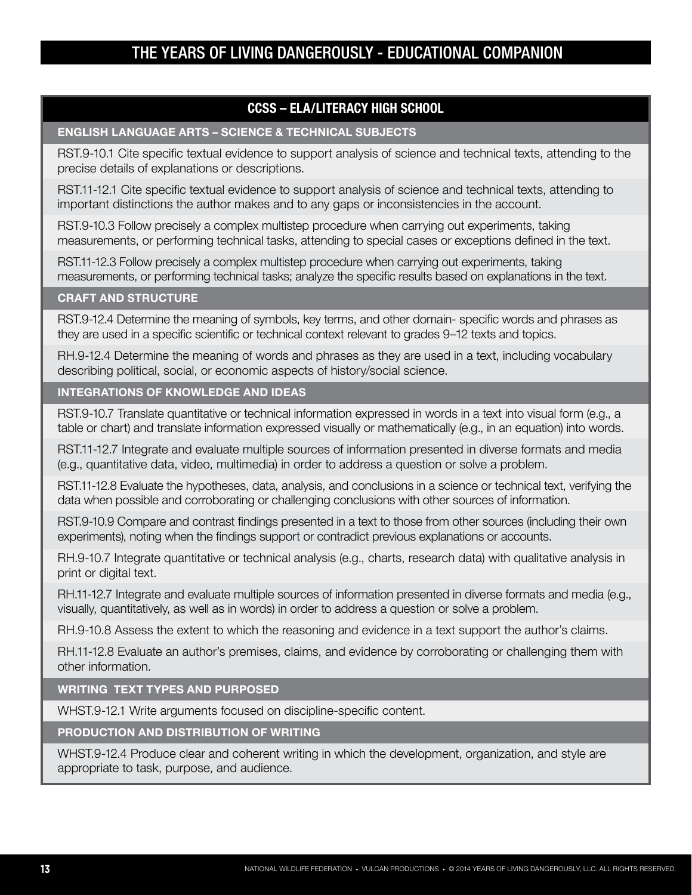### **CCSS – ELA/LITERACY HIGH SCHOOL**

### **ENGLISH LANGUAGE ARTS – SCIENCE & TECHNICAL SUBJECTS**

RST.9-10.1 Cite specific textual evidence to support analysis of science and technical texts, attending to the precise details of explanations or descriptions.

RST.11-12.1 Cite specific textual evidence to support analysis of science and technical texts, attending to important distinctions the author makes and to any gaps or inconsistencies in the account.

RST.9-10.3 Follow precisely a complex multistep procedure when carrying out experiments, taking measurements, or performing technical tasks, attending to special cases or exceptions defined in the text.

RST.11-12.3 Follow precisely a complex multistep procedure when carrying out experiments, taking measurements, or performing technical tasks; analyze the specific results based on explanations in the text.

### **CRAFT AND STRUCTURE**

RST.9-12.4 Determine the meaning of symbols, key terms, and other domain- specific words and phrases as they are used in a specific scientific or technical context relevant to grades 9–12 texts and topics.

RH.9-12.4 Determine the meaning of words and phrases as they are used in a text, including vocabulary describing political, social, or economic aspects of history/social science.

### **INTEGRATIONS OF KNOWLEDGE AND IDEAS**

RST.9-10.7 Translate quantitative or technical information expressed in words in a text into visual form (e.g., a table or chart) and translate information expressed visually or mathematically (e.g., in an equation) into words.

RST.11-12.7 Integrate and evaluate multiple sources of information presented in diverse formats and media (e.g., quantitative data, video, multimedia) in order to address a question or solve a problem.

RST.11-12.8 Evaluate the hypotheses, data, analysis, and conclusions in a science or technical text, verifying the data when possible and corroborating or challenging conclusions with other sources of information.

RST.9-10.9 Compare and contrast findings presented in a text to those from other sources (including their own experiments), noting when the findings support or contradict previous explanations or accounts.

RH.9-10.7 Integrate quantitative or technical analysis (e.g., charts, research data) with qualitative analysis in print or digital text.

RH.11-12.7 Integrate and evaluate multiple sources of information presented in diverse formats and media (e.g., visually, quantitatively, as well as in words) in order to address a question or solve a problem.

RH.9-10.8 Assess the extent to which the reasoning and evidence in a text support the author's claims.

RH.11-12.8 Evaluate an author's premises, claims, and evidence by corroborating or challenging them with other information.

### **WRITING TEXT TYPES AND PURPOSED**

WHST.9-12.1 Write arguments focused on discipline-specific content.

**PRODUCTION AND DISTRIBUTION OF WRITING**

WHST.9-12.4 Produce clear and coherent writing in which the development, organization, and style are appropriate to task, purpose, and audience.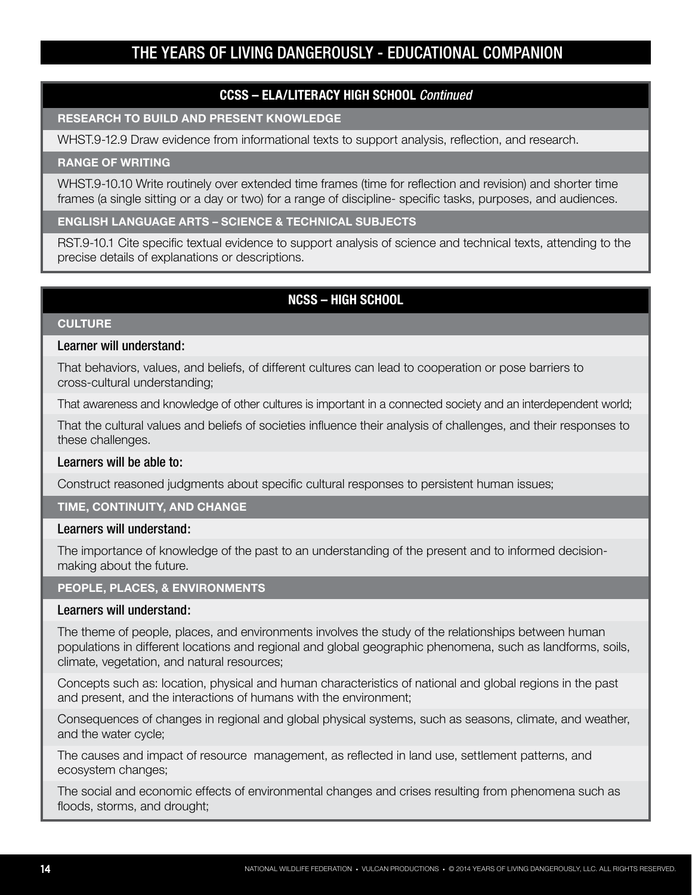### **CCSS – ELA/LITERACY HIGH SCHOOL** *Continued*

#### **RESEARCH TO BUILD AND PRESENT KNOWLEDGE**

WHST.9-12.9 Draw evidence from informational texts to support analysis, reflection, and research.

#### **RANGE OF WRITING**

WHST.9-10.10 Write routinely over extended time frames (time for reflection and revision) and shorter time frames (a single sitting or a day or two) for a range of discipline- specific tasks, purposes, and audiences.

### **ENGLISH LANGUAGE ARTS – SCIENCE & TECHNICAL SUBJECTS**

RST.9-10.1 Cite specific textual evidence to support analysis of science and technical texts, attending to the precise details of explanations or descriptions.

### **NCSS – HIGH SCHOOL**

### **CULTURE**

### Learner will understand:

That behaviors, values, and beliefs, of different cultures can lead to cooperation or pose barriers to cross-cultural understanding;

That awareness and knowledge of other cultures is important in a connected society and an interdependent world;

That the cultural values and beliefs of societies influence their analysis of challenges, and their responses to these challenges.

### Learners will be able to:

Construct reasoned judgments about specific cultural responses to persistent human issues;

### **TIME, CONTINUITY, AND CHANGE**

### Learners will understand:

The importance of knowledge of the past to an understanding of the present and to informed decisionmaking about the future.

#### **PEOPLE, PLACES, & ENVIRONMENTS**

#### Learners will understand:

The theme of people, places, and environments involves the study of the relationships between human populations in different locations and regional and global geographic phenomena, such as landforms, soils, climate, vegetation, and natural resources;

Concepts such as: location, physical and human characteristics of national and global regions in the past and present, and the interactions of humans with the environment;

Consequences of changes in regional and global physical systems, such as seasons, climate, and weather, and the water cycle;

The causes and impact of resource management, as reflected in land use, settlement patterns, and ecosystem changes;

The social and economic effects of environmental changes and crises resulting from phenomena such as floods, storms, and drought;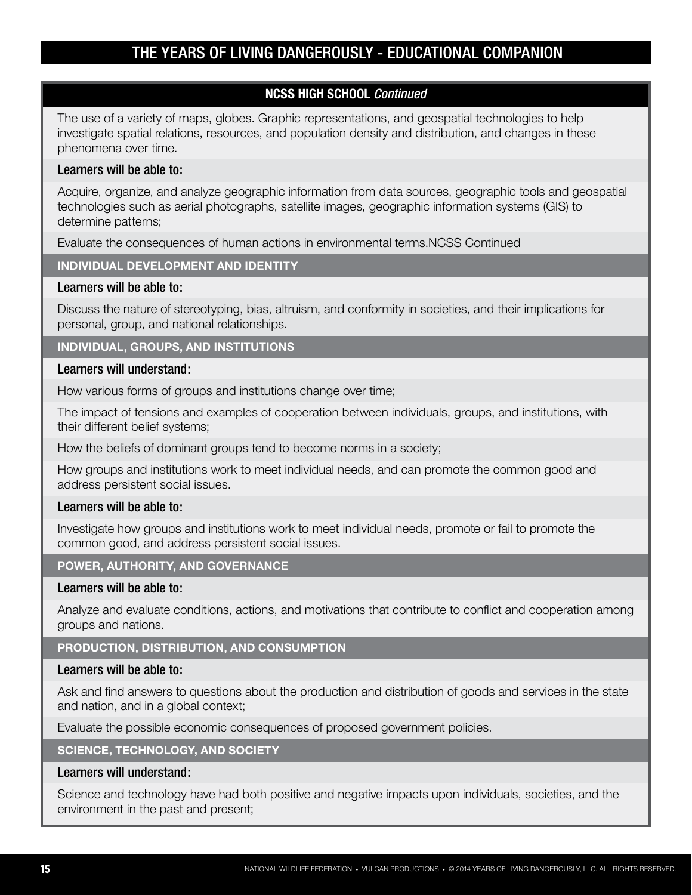### **NCSS HIGH SCHOOL** *Continued*

The use of a variety of maps, globes. Graphic representations, and geospatial technologies to help investigate spatial relations, resources, and population density and distribution, and changes in these phenomena over time.

### Learners will be able to:

Acquire, organize, and analyze geographic information from data sources, geographic tools and geospatial technologies such as aerial photographs, satellite images, geographic information systems (GIS) to determine patterns;

Evaluate the consequences of human actions in environmental terms.NCSS Continued

### **INDIVIDUAL DEVELOPMENT AND IDENTITY**

### Learners will be able to:

Discuss the nature of stereotyping, bias, altruism, and conformity in societies, and their implications for personal, group, and national relationships.

### **INDIVIDUAL, GROUPS, AND INSTITUTIONS**

### Learners will understand:

How various forms of groups and institutions change over time;

The impact of tensions and examples of cooperation between individuals, groups, and institutions, with their different belief systems;

How the beliefs of dominant groups tend to become norms in a society;

How groups and institutions work to meet individual needs, and can promote the common good and address persistent social issues.

### Learners will be able to:

Investigate how groups and institutions work to meet individual needs, promote or fail to promote the common good, and address persistent social issues.

### **POWER, AUTHORITY, AND GOVERNANCE**

### Learners will be able to:

Analyze and evaluate conditions, actions, and motivations that contribute to conflict and cooperation among groups and nations.

### **PRODUCTION, DISTRIBUTION, AND CONSUMPTION**

### Learners will be able to:

Ask and find answers to questions about the production and distribution of goods and services in the state and nation, and in a global context;

Evaluate the possible economic consequences of proposed government policies.

### **SCIENCE, TECHNOLOGY, AND SOCIETY**

### Learners will understand:

Science and technology have had both positive and negative impacts upon individuals, societies, and the environment in the past and present;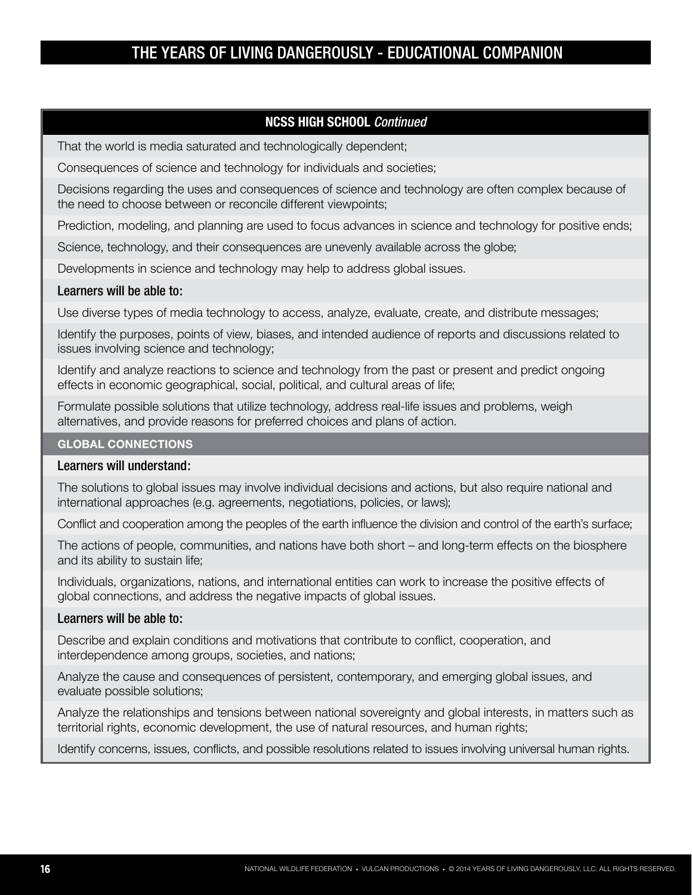### **NCSS HIGH SCHOOL** *Continued*

That the world is media saturated and technologically dependent;

Consequences of science and technology for individuals and societies;

Decisions regarding the uses and consequences of science and technology are often complex because of the need to choose between or reconcile different viewpoints;

Prediction, modeling, and planning are used to focus advances in science and technology for positive ends;

Science, technology, and their consequences are unevenly available across the globe;

Developments in science and technology may help to address global issues.

#### Learners will be able to:

Use diverse types of media technology to access, analyze, evaluate, create, and distribute messages;

Identify the purposes, points of view, biases, and intended audience of reports and discussions related to issues involving science and technology;

Identify and analyze reactions to science and technology from the past or present and predict ongoing effects in economic geographical, social, political, and cultural areas of life;

Formulate possible solutions that utilize technology, address real-life issues and problems, weigh alternatives, and provide reasons for preferred choices and plans of action.

#### **GLOBAL CONNECTIONS**

### Learners will understand:

The solutions to global issues may involve individual decisions and actions, but also require national and international approaches (e.g. agreements, negotiations, policies, or laws);

Conflict and cooperation among the peoples of the earth influence the division and control of the earth's surface;

The actions of people, communities, and nations have both short – and long-term effects on the biosphere and its ability to sustain life;

Individuals, organizations, nations, and international entities can work to increase the positive effects of global connections, and address the negative impacts of global issues.

#### Learners will be able to:

Describe and explain conditions and motivations that contribute to conflict, cooperation, and interdependence among groups, societies, and nations;

Analyze the cause and consequences of persistent, contemporary, and emerging global issues, and evaluate possible solutions;

Analyze the relationships and tensions between national sovereignty and global interests, in matters such as territorial rights, economic development, the use of natural resources, and human rights;

Identify concerns, issues, conflicts, and possible resolutions related to issues involving universal human rights.